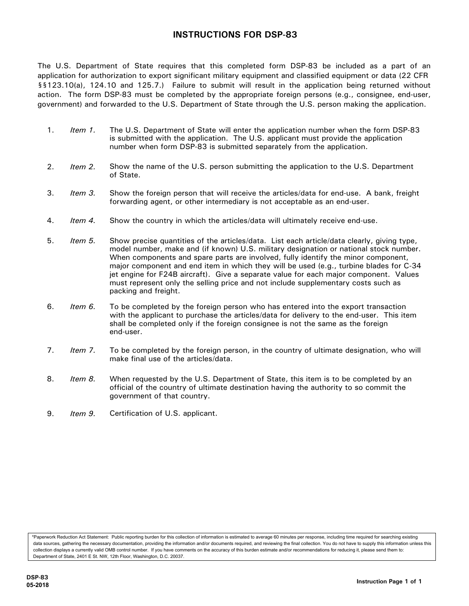## **INSTRUCTIONS FOR DSP-83**

The U.S. Department of State requires that this completed form DSP-83 be included as a part of an application for authorization to export significant military equipment and classified equipment or data (22 CFR §§123.10(a), 124.10 and 125.7.) Failure to submit will result in the application being returned without action. The form DSP-83 must be completed by the appropriate foreign persons (e.g., consignee, end-user, government) and forwarded to the U.S. Department of State through the U.S. person making the application.

- 1. *Item 1.* The U.S. Department of State will enter the application number when the form DSP-83 is submitted with the application. The U.S. applicant must provide the application number when form DSP-83 is submitted separately from the application.
- 2. *Item 2.* Show the name of the U.S. person submitting the application to the U.S. Department of State.
- 3. *Item 3.* Show the foreign person that will receive the articles/data for end-use. A bank, freight forwarding agent, or other intermediary is not acceptable as an end-user.
- 4. *Item 4.* Show the country in which the articles/data will ultimately receive end-use.
- 5. *Item 5.* Show precise quantities of the articles/data. List each article/data clearly, giving type, model number, make and (if known) U.S. military designation or national stock number. When components and spare parts are involved, fully identify the minor component, major component and end item in which they will be used (e.g., turbine blades for C-34 jet engine for F24B aircraft). Give a separate value for each major component. Values must represent only the selling price and not include supplementary costs such as packing and freight.
- 6. *Item 6.* To be completed by the foreign person who has entered into the export transaction with the applicant to purchase the articles/data for delivery to the end-user. This item shall be completed only if the foreign consignee is not the same as the foreign end-user.
- 7. *Item 7.* To be completed by the foreign person, in the country of ultimate designation, who will make final use of the articles/data.
- 8. *Item 8.* When requested by the U.S. Department of State, this item is to be completed by an official of the country of ultimate destination having the authority to so commit the government of that country.
- 9. *Item 9.* Certification of U.S. applicant.

\*Paperwork Reduction Act Statement: Public reporting burden for this collection of information is estimated to average 60 minutes per response, including time required for searching existing data sources, gathering the necessary documentation, providing the information and/or documents required, and reviewing the final collection. You do not have to supply this information unless this collection displays a currently valid OMB control number. If you have comments on the accuracy of this burden estimate and/or recommendations for reducing it, please send them to: Department of State, 2401 E St. NW, 12th Floor, Washington, D.C. 20037.